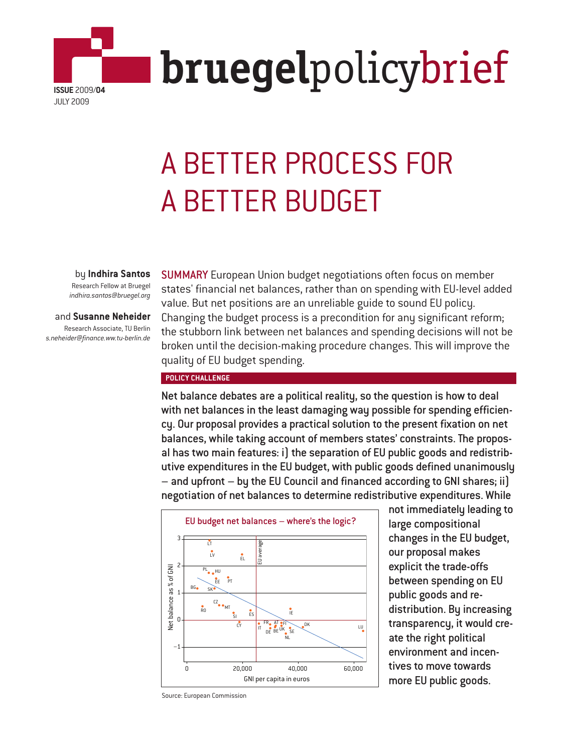

# A BETTER PROCESS FOR A BETTER BUDGET

by **Indhira Santos**

Research Fellow at Bruegel *indhira.santos@bruegel.org*

#### and **Susanne Neheider**

Research Associate, TU Berlin *s.neheider@finance.ww.tu-berlin.de* SUMMARY European Union budget negotiations often focus on member states' financial net balances, rather than on spending with EU-level added value. But net positions are an unreliable guide to sound EU policy. Changing the budget process is a precondition for any significant reform; the stubborn link between net balances and spending decisions will not be broken until the decision-making procedure changes. This will improve the quality of EU budget spending.

#### **POLICY CHALLENGE**

Net balance debates are a political reality, so the question is how to deal with net balances in the least damaging way possible for spending efficiency. Our proposal provides a practical solution to the present fixation on net balances, while taking account of members states' constraints. The proposal has two main features: i) the separation of EU public goods and redistributive expenditures in the EU budget, with public goods defined unanimously – and upfront – by the EU Council and financed according to GNI shares; ii) negotiation of net balances to determine redistributive expenditures. While



not immediately leading to large compositional changes in the EU budget, our proposal makes explicit the trade-offs between spending on EU public goods and redistribution. By increasing transparency, it would create the right political environment and incentives to move towards more EU public goods.

Source: European Commission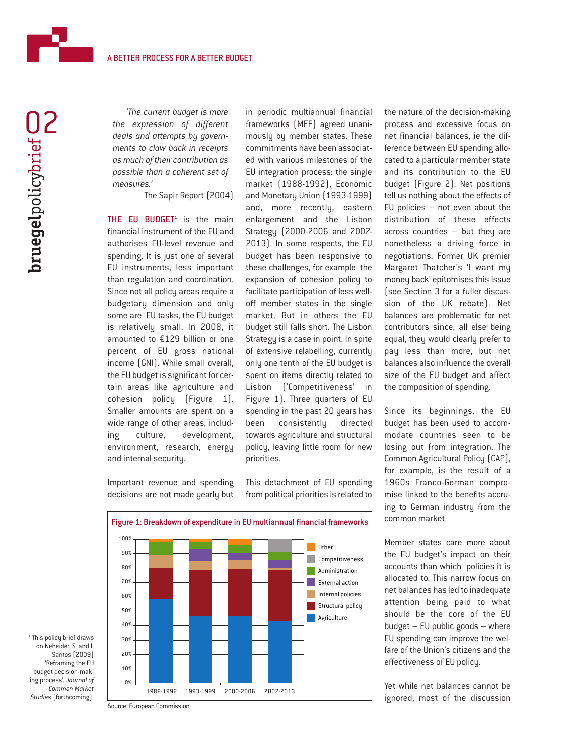

*'The current budget is more the expression of different deals and attempts by governments to claw back in receipts as much of their contribution as possible than a coherent set of measures.'*

The Sapir Report (2004)

THE EU BUDGET<sup> $1$ </sup> is the main financial instrument of the EU and authorises EU-level revenue and spending. It is just one of several EU instruments, less important than regulation and coordination. Since not all policy areas require a budgetary dimension and only some are EU tasks, the EU budget is relatively small. In 2008, it amounted to €129 billion or one percent of EU gross national income (GNI). While small overall, the EU budget is significant for certain areas like agriculture and cohesion policy (Figure 1). Smaller amounts are spent on a wide range of other areas, including culture, development, environment, research, energy and internal security.

Important revenue and spending decisions are not made yearly but in periodic multiannual financial frameworks (MFF) agreed unanimously by member states. These commitments have been associated with various milestones of the EU integration process: the single market (1988-1992), Economic and Monetary Union (1993-1999) and, more recently, eastern enlargement and the Lisbon Strategy (2000-2006 and 2007- 2013). In some respects, the EU budget has been responsive to these challenges, for example the expansion of cohesion policy to facilitate participation of less welloff member states in the single market. But in others the EU budget still falls short. The Lisbon Strategy is a case in point. In spite of extensive relabelling, currently only one tenth of the EU budget is spent on items directly related to Lisbon ('Competitiveness' in Figure 1). Three quarters of EU spending in the past 20 years has been consistently directed towards agriculture and structural policy, leaving little room for new priorities.

This detachment of EU spending from political priorities is related to

the nature of the decision-making process and excessive focus on net financial balances, ie the difference between EU spending allocated to a particular member state and its contribution to the EU budget (Figure 2). Net positions tell us nothing about the effects of EU policies – not even about the distribution of these effects across countries – but they are nonetheless a driving force in negotiations. Former UK premier Margaret Thatcher's 'I want my money back' epitomises this issue (see Section 3 for a fuller discussion of the UK rebate). Net balances are problematic for net contributors since, all else being equal, they would clearly prefer to pay less than more, but net balances also influence the overall size of the EU budget and affect the composition of spending.

Since its beginnings, the EU budget has been used to accommodate countries seen to be losing out from integration. The Common Agricultural Policy (CAP), for example, is the result of a 1960s Franco-German compromise linked to the benefits accruing to German industry from the common market.

Member states care more about the EU budget's impact on their accounts than which policies it is allocated to. This narrow focus on net balances has led to inadequate attention being paid to what should be the core of the EU budget – EU public goods – where EU spending can improve the welfare of the Union's citizens and the effectiveness of EU policy.

Yet while net balances cannot be ignored, most of the discussion



Figure 1: Breakdown of expenditure in EU multiannual financial frameworks

<sup>1</sup> This policy brief draws on Neheider, S. and I. Santos (2009) 'Reframing the EU budget decision-making process', *Journal of Common Market Studies* (forthcoming).

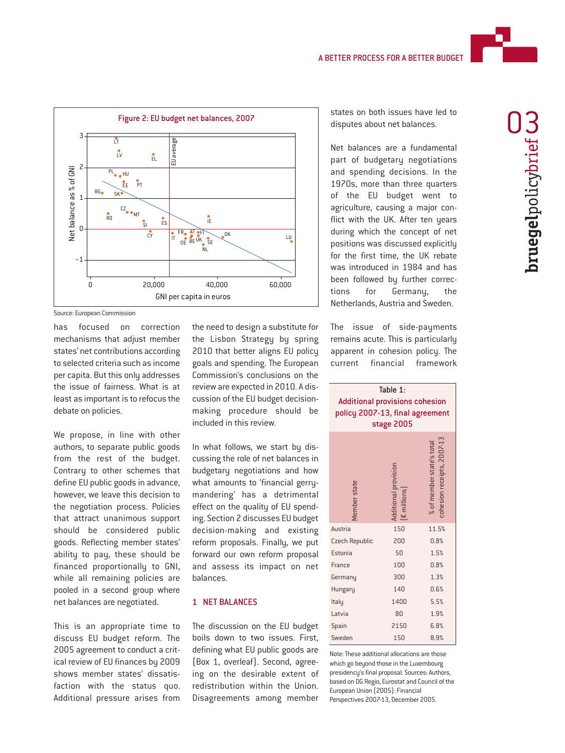

**bruegel**policybrief **bruegelpolicybrief CC** 



Source: European Commission

has focused on correction mechanisms that adjust member states' net contributions according to selected criteria such as income per capita. But this only addresses the issue of fairness. What is at least as important is to refocus the debate on policies.

We propose, in line with other authors, to separate public goods from the rest of the budget. Contrary to other schemes that define EU public goods in advance, however, we leave this decision to the negotiation process. Policies that attract unanimous support should be considered public goods. Reflecting member states' ability to pay, these should be financed proportionally to GNI, while all remaining policies are pooled in a second group where net balances are negotiated.

This is an appropriate time to discuss EU budget reform. The 2005 agreement to conduct a critical review of EU finances by 2009 shows member states' dissatisfaction with the status quo. Additional pressure arises from

the need to design a substitute for the Lisbon Strategy by spring 2010 that better aligns EU policy goals and spending. The European Commission's conclusions on the review are expected in 2010. A discussion of the EU budget decisionmaking procedure should be included in this review.

In what follows, we start by discussing the role of net balances in budgetary negotiations and how what amounts to 'financial gerrymandering' has a detrimental effect on the quality of EU spending. Section 2 discusses EU budget decision-making and existing reform proposals. Finally, we put forward our own reform proposal and assess its impact on net balances.

#### 1 NET BALANCES

The discussion on the EU budget boils down to two issues. First, defining what EU public goods are (Box 1, overleaf). Second, agreeing on the desirable extent of redistribution within the Union. Disagreements among member

states on both issues have led to disputes about net balances.

Net balances are a fundamental part of budgetary negotiations and spending decisions. In the 1970s, more than three quarters of the EU budget went to agriculture, causing a major conflict with the UK. After ten years during which the concept of net positions was discussed explicitly for the first time, the UK rebate was introduced in 1984 and has been followed by further corrections for Germany, the Netherlands, Austria and Sweden.

The issue of side-pauments remains acute. This is particularly apparent in cohesion policy. The current financial framework

| Table 1:<br>Additional provisions cohesion<br>policy 2007-13, final agreement<br>stage 2005 |                       |                      |                                                         |
|---------------------------------------------------------------------------------------------|-----------------------|----------------------|---------------------------------------------------------|
|                                                                                             | Member state          | Additional provision | cohesion receipts, 2007-13<br>% of member state's total |
|                                                                                             | Austria               | 150                  | 11.5%                                                   |
|                                                                                             | <b>Czech Republic</b> | 200                  | 0.8%                                                    |
|                                                                                             | Estonia               | 50                   | 1.5%                                                    |
|                                                                                             | France                | 100                  | 0.8%                                                    |
|                                                                                             | Germany               | 300                  | 1.3%                                                    |
|                                                                                             | Hungary               | 140                  | 0.6%                                                    |
|                                                                                             | Italu                 | 1400                 | 5.5%                                                    |
|                                                                                             | Latvia                | 80                   | 1.9%                                                    |
|                                                                                             | Spain                 | 2150                 | 6.8%                                                    |
|                                                                                             | Sweden                | 150                  | 8.9%                                                    |

Note: These additional allocations are those which go beyond those in the Luxembourg presidency's final proposal. Sources: Authors, based on DG Regio, Eurostat and Council of the European Union (2005): Financial Perspectives 2007-13, December 2005.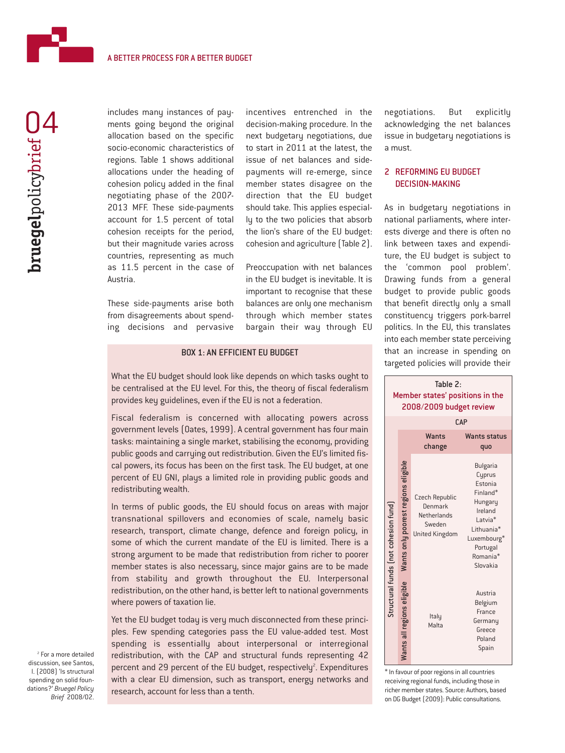

includes many instances of payments going beyond the original allocation based on the specific socio-economic characteristics of regions. Table 1 shows additional allocations under the heading of cohesion policy added in the final negotiating phase of the 2007- 2013 MFF. These side-payments account for 1.5 percent of total cohesion receipts for the period, but their magnitude varies across countries, representing as much as 11.5 percent in the case of Austria.

These side-payments arise both from disagreements about spending decisions and pervasive incentives entrenched in the decision-making procedure. In the next budgetary negotiations, due to start in 2011 at the latest, the issue of net balances and sidepayments will re-emerge, since member states disagree on the direction that the EU budget should take. This applies especially to the two policies that absorb the lion's share of the EU budget: cohesion and agriculture (Table 2).

Preoccupation with net balances in the EU budget is inevitable. It is important to recognise that these balances are only one mechanism through which member states bargain their way through EU

## BOX 1: AN EFFICIENT EU BUDGET

What the EU budget should look like depends on which tasks ought to be centralised at the EU level. For this, the theory of fiscal federalism provides key guidelines, even if the EU is not a federation.

Fiscal federalism is concerned with allocating powers across government levels (Oates, 1999). A central government has four main tasks: maintaining a single market, stabilising the economy, providing public goods and carrying out redistribution. Given the EU's limited fiscal powers, its focus has been on the first task. The EU budget, at one percent of EU GNI, plays a limited role in providing public goods and redistributing wealth.

In terms of public goods, the EU should focus on areas with major transnational spillovers and economies of scale, namely basic research, transport, climate change, defence and foreign policy, in some of which the current mandate of the EU is limited. There is a strong argument to be made that redistribution from richer to poorer member states is also necessary, since major gains are to be made from stability and growth throughout the EU. Interpersonal redistribution, on the other hand, is better left to national governments where powers of taxation lie.

Yet the EU budget today is very much disconnected from these principles. Few spending categories pass the EU value-added test. Most spending is essentially about interpersonal or interregional redistribution, with the CAP and structural funds representing 42 percent and 29 percent of the EU budget, respectively<sup>2</sup>. Expenditures with a clear EU dimension, such as transport, energy networks and research, account for less than a tenth.

negotiations. But explicitly acknowledging the net balances issue in budgetary negotiations is a must.

# 2 REFORMING EU BUDGET DECISION-MAKING

As in budgetary negotiations in national parliaments, where interests diverge and there is often no link between taxes and expenditure, the EU budget is subject to the 'common pool problem'. Drawing funds from a general budget to provide public goods that benefit directly only a small constituency triggers pork-barrel politics. In the EU, this translates into each member state perceiving that an increase in spending on targeted policies will provide their



\* In favour of poor regions in all countries receiving regional funds, including those in richer member states. Source: Authors, based on DG Budget (2009): Public consultations.

<sup>2</sup> For a more detailed discussion, see Santos, I. (2008) 'Is structural spending on solid foundations?' *Bruegel Policy Brief* 2008/02.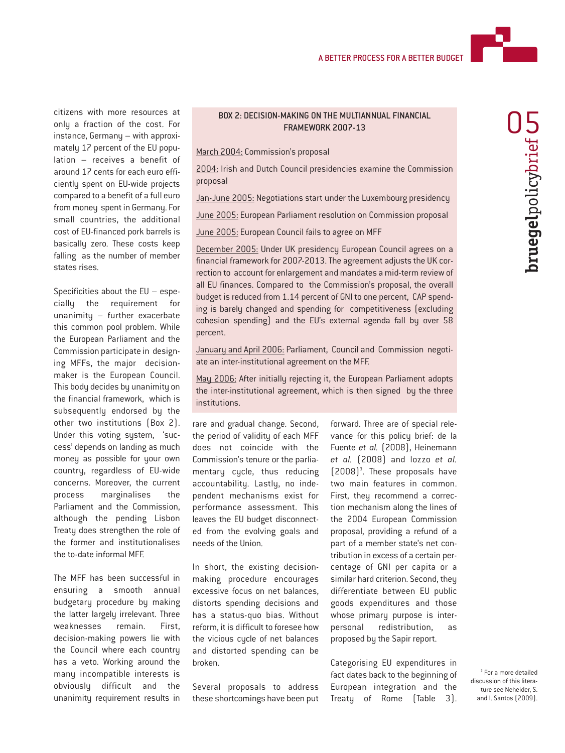

citizens with more resources at only a fraction of the cost. For instance, Germany – with approximately 17 percent of the EU population – receives a benefit of around 17 cents for each euro efficiently spent on EU-wide projects compared to a benefit of a full euro from money spent in Germany. For small countries, the additional cost of EU-financed pork barrels is basically zero. These costs keep falling as the number of member states rises.

Specificities about the EU – especially the requirement for unanimity – further exacerbate this common pool problem. While the European Parliament and the Commission participate in designing MFFs, the major decisionmaker is the European Council. This body decides by unanimity on the financial framework, which is subsequently endorsed by the other two institutions (Box 2). Under this voting system, 'success' depends on landing as much money as possible for your own country, regardless of EU-wide concerns. Moreover, the current process marginalises the Parliament and the Commission, although the pending Lisbon Treaty does strengthen the role of the former and institutionalises the to-date informal MFF.

The MFF has been successful in ensuring a smooth annual budgetary procedure by making the latter largely irrelevant. Three weaknesses remain. First, decision-making powers lie with the Council where each country has a veto. Working around the many incompatible interests is obviously difficult and the unanimity requirement results in

## BOX 2: DECISION-MAKING ON THE MULTIANNUAL FINANCIAL FRAMEWORK 2007-13

March 2004: Commission's proposal

2004: Irish and Dutch Council presidencies examine the Commission proposal

Jan-June 2005: Negotiations start under the Luxembourg presidency

June 2005: European Parliament resolution on Commission proposal

June 2005: European Council fails to agree on MFF

December 2005: Under UK presidency European Council agrees on a financial framework for 2007-2013. The agreement adjusts the UK correction to account for enlargement and mandates a mid-term review of all EU finances. Compared to the Commission's proposal, the overall budget is reduced from 1.14 percent of GNI to one percent, CAP spending is barely changed and spending for competitiveness (excluding cohesion spending) and the EU's external agenda fall by over 58 percent.

January and April 2006: Parliament, Council and Commission negotiate an inter-institutional agreement on the MFF.

May 2006: After initially rejecting it, the European Parliament adopts the inter-institutional agreement, which is then signed by the three institutions.

rare and gradual change. Second, the period of validity of each MFF does not coincide with the Commission's tenure or the parliamentary cycle, thus reducing accountability. Lastly, no independent mechanisms exist for performance assessment. This leaves the EU budget disconnected from the evolving goals and needs of the Union.

In short, the existing decisionmaking procedure encourages excessive focus on net balances, distorts spending decisions and has a status-quo bias. Without reform, it is difficult to foresee how the vicious cycle of net balances and distorted spending can be broken.

Several proposals to address these shortcomings have been put

forward. Three are of special relevance for this policy brief: de la Fuente *et al.* (2008), Heinemann *et al.* (2008) and Iozzo *et al.*  $(2008)^3$ . These proposals have two main features in common. First, they recommend a correction mechanism along the lines of the 2004 European Commission proposal, providing a refund of a part of a member state's net contribution in excess of a certain percentage of GNI per capita or a similar hard criterion. Second, they differentiate between EU public goods expenditures and those whose primary purpose is interpersonal redistribution, as proposed by the Sapir report.

Categorising EU expenditures in fact dates back to the beginning of European integration and the Treaty of Rome (Table 3).

<sup>3</sup> For a more detailed discussion of this literature see Neheider, S. and I. Santos (2009).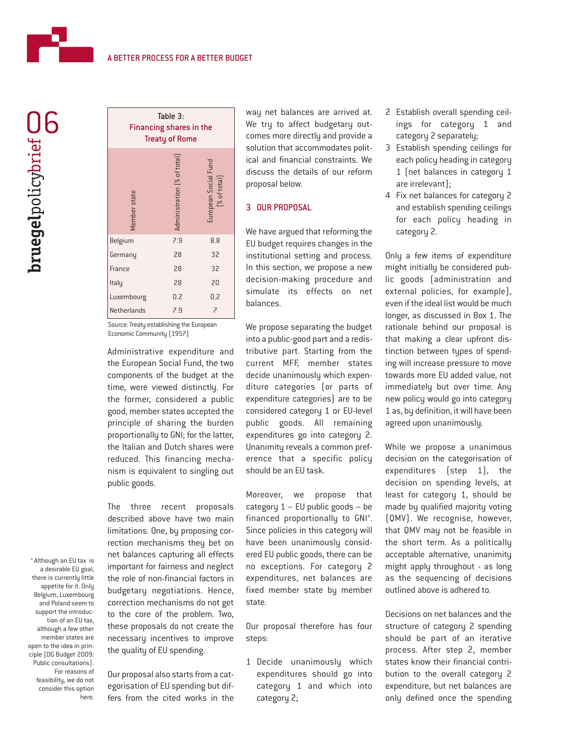| Table 3:<br><b>Financing shares in the</b><br><b>Treaty of Rome</b> |                                      |  |
|---------------------------------------------------------------------|--------------------------------------|--|
| Administration [% of total]<br>Member state                         | European Social Fund<br>[% of total] |  |
| 7.9<br>Belgium                                                      | 8.8                                  |  |
| 28<br>Germany                                                       | 32                                   |  |
| 28<br>France                                                        | 32                                   |  |
| 28<br>Italy                                                         | 20                                   |  |
| 0.2<br>Luxembourg                                                   | 0.2                                  |  |
| Netherlands<br>7.9                                                  | 7                                    |  |

Source: Treaty establishing the European Economic Community (1957)

Administrative expenditure and the European Social Fund, the two components of the budget at the time, were viewed distinctly. For the former, considered a public good, member states accepted the principle of sharing the burden proportionally to GNI; for the latter, the Italian and Dutch shares were reduced. This financing mechanism is equivalent to singling out public goods.

The three recent proposals described above have two main limitations. One, by proposing correction mechanisms they bet on net balances capturing all effects important for fairness and neglect the role of non-financial factors in budgetary negotiations. Hence, correction mechanisms do not get to the core of the problem. Two, these proposals do not create the necessary incentives to improve the quality of EU spending.

Our proposal also starts from a categorisation of EU spending but differs from the cited works in the

way net balances are arrived at. We try to affect budgetary outcomes more directly and provide a solution that accommodates political and financial constraints. We discuss the details of our reform proposal below.

#### 3 OUR PROPOSAL

We have argued that reforming the EU budget requires changes in the institutional setting and process. In this section, we propose a new decision-making procedure and simulate its effects on net balances.

We propose separating the budget into a public-good part and a redistributive part. Starting from the current MFF, member states decide unanimously which expenditure categories (or parts of expenditure categories) are to be considered category 1 or EU-level public goods. All remaining expenditures go into category 2. Unanimity reveals a common preference that a specific policy should be an EU task.

Moreover, we propose that category  $1 - EU$  public goods  $-$  be financed proportionally to GNI<sup>4</sup>. Since policies in this category will have been unanimously considered EU public goods, there can be no exceptions. For category 2 expenditures, net balances are fixed member state by member state.

Our proposal therefore has four steps:

1 Decide unanimously which expenditures should go into category 1 and which into category 2;

- 2 Establish overall spending ceilings for category 1 and category 2 separately;
- 3 Establish spending ceilings for each policy heading in category 1 (net balances in category 1 are irrelevant);
- 4 Fix net balances for category 2 and establish spending ceilings for each policy heading in category 2.

Only a few items of expenditure might initially be considered public goods (administration and external policies, for example), even if the ideal list would be much longer, as discussed in Box 1. The rationale behind our proposal is that making a clear upfront distinction between types of spending will increase pressure to move towards more EU added value, not immediately but over time. Any new policy would go into category 1 as, by definition, it will have been agreed upon unanimously.

While we propose a unanimous decision on the categorisation of expenditures (step 1), the decision on spending levels, at least for category 1, should be made by qualified majority voting (QMV). We recognise, however, that QMV may not be feasible in the short term. As a politically acceptable alternative, unanimity might apply throughout - as long as the sequencing of decisions outlined above is adhered to.

Decisions on net balances and the structure of category 2 spending should be part of an iterative process. After step 2, member states know their financial contribution to the overall category 2 expenditure, but net balances are only defined once the spending

<sup>4</sup> Although an EU tax is a desirable EU goal, there is currently little appetite for it. Only Belgium, Luxembourg and Poland seem to support the introduction of an EU tax, although a few other member states are open to the idea in principle (DG Budget 2009: Public consultations). For reasons of feasibility, we do not consider this option here.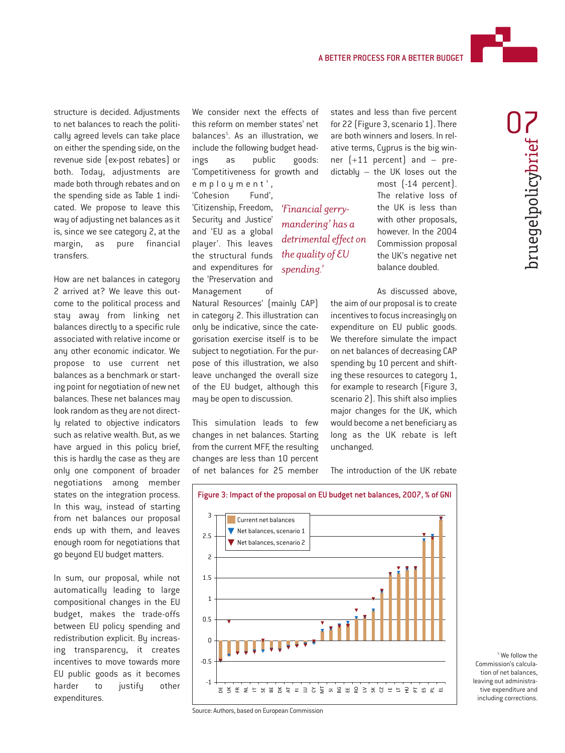

bruegelpolicybrief

structure is decided. Adjustments to net balances to reach the politically agreed levels can take place on either the spending side, on the revenue side (ex-post rebates) or both. Today, adjustments are made both through rebates and on the spending side as Table 1 indicated. We propose to leave this way of adjusting net balances as it is, since we see category 2, at the margin, as pure financial transfers.

How are net balances in category 2 arrived at? We leave this outcome to the political process and stay away from linking net balances directly to a specific rule associated with relative income or any other economic indicator. We propose to use current net balances as a benchmark or starting point for negotiation of new net balances. These net balances may look random as they are not directly related to objective indicators such as relative wealth. But, as we have argued in this policy brief, this is hardly the case as they are only one component of broader negotiations among member states on the integration process. In this way, instead of starting from net balances our proposal ends up with them, and leaves enough room for negotiations that go beyond EU budget matters.

In sum, our proposal, while not automatically leading to large compositional changes in the EU budget, makes the trade-offs between EU policy spending and redistribution explicit. By increasing transparency, it creates incentives to move towards more EU public goods as it becomes harder to justify other expenditures.

We consider next the effects of this reform on member states' net balances<sup>5</sup>. As an illustration, we include the following budget headings as public goods: 'Competitiveness for growth and employment', 'Cohesion Fund', 'Citizenship, Freedom, Security and Justice' and 'EU as a global player'. This leaves the structural funds and expenditures for the 'Preservation and *'Financial gerrymandering' has a detrimental effect on the quality of EU spending.'*

Management of Natural Resources' (mainly CAP) in category 2. This illustration can only be indicative, since the categorisation exercise itself is to be subject to negotiation. For the purpose of this illustration, we also leave unchanged the overall size of the EU budget, although this may be open to discussion.

This simulation leads to few changes in net balances. Starting from the current MFF, the resulting changes are less than 10 percent of net balances for 25 member states and less than five percent for 22 (Figure 3, scenario 1). There are both winners and losers. In relative terms, Cyprus is the big winner (+11 percent) and – predictably – the UK loses out the

> most (-14 percent). The relative loss of the UK is less than with other proposals, however. In the 2004 Commission proposal the UK's negative net balance doubled.

As discussed above, the aim of our proposal is to create incentives to focus increasingly on expenditure on EU public goods. We therefore simulate the impact on net balances of decreasing CAP spending by 10 percent and shifting these resources to category 1, for example to research (Figure 3, scenario 2). This shift also implies major changes for the UK, which would become a net beneficiary as long as the UK rebate is left unchanged.

The introduction of the UK rebate



<sup>5</sup> We follow the Commission's calculation of net balances, leaving out administrative expenditure and including corrections.

Source: Authors, based on European Commission